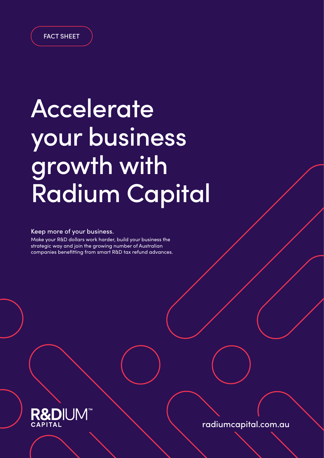

# Accelerate your business growth with Radium Capital

#### Keep more of your business.

Make your R&D dollars work harder, build your business the strategic way and join the growing number of Australian companies benefitting from smart R&D tax refund advances.



radiumcapital.com.au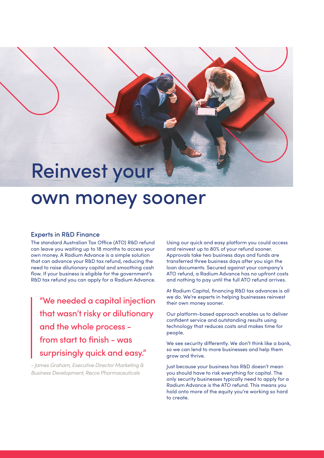### Reinvest your

### own money sooner

#### Experts in R&D Finance

The standard Australian Tax Office (ATO) R&D refund can leave you waiting up to 18 months to access your own money. A Radium Advance is a simple solution that can advance your R&D tax refund, reducing the need to raise dilutionary capital and smoothing cash flow. If your business is eligible for the government's R&D tax refund you can apply for a Radium Advance.

"We needed a capital injection that wasn't risky or dilutionary and the whole process from start to finish - was surprisingly quick and easy."

*- James Graham, Executive Director Marketing & Business Development, Recce Pharmaceuticals*

Using our quick and easy platform you could access and reinvest up to 80% of your refund sooner. Approvals take two business days and funds are transferred three business days after you sign the loan documents. Secured against your company's ATO refund, a Radium Advance has no upfront costs and nothing to pay until the full ATO refund arrives.

At Radium Capital, financing R&D tax advances is all we do. We're experts in helping businesses reinvest their own money sooner.

Our platform-based approach enables us to deliver confident service and outstanding results using technology that reduces costs and makes time for people.

We see security differently. We don't think like a bank, so we can lend to more businesses and help them grow and thrive.

Just because your business has R&D doesn't mean you should have to risk everything for capital. The only security businesses typically need to apply for a Radium Advance is the ATO refund. This means you hold onto more of the equity you're working so hard to create.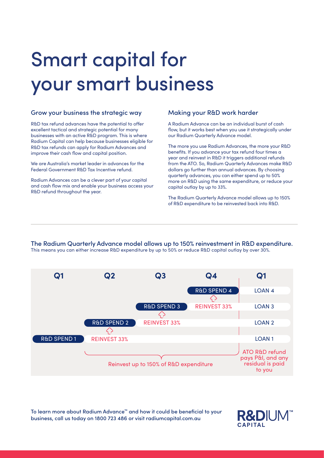### Smart capital for your smart business

#### Grow your business the strategic way

R&D tax refund advances have the potential to offer excellent tactical and strategic potential for many businesses with an active R&D program. This is where Radium Capital can help because businesses eligible for R&D tax refunds can apply for Radium Advances and improve their cash flow and capital position.

We are Australia's market leader in advances for the Federal Government R&D Tax Incentive refund.

Radium Advances can be a clever part of your capital and cash flow mix and enable your business access your R&D refund throughout the year.

#### Making your R&D work harder

A Radium Advance can be an individual burst of cash flow, but it works best when you use it strategically under our Radium Quarterly Advance model.

The more you use Radium Advances, the more your R&D benefits. If you advance your tax refund four times a year and reinvest in R&D it triggers additional refunds from the ATO. So, Radium Quarterly Advances make R&D dollars go further than annual advances. By choosing quarterly advances, you can either spend up to 50% more on R&D using the same expenditure, or reduce your capital outlay by up to 33%.

The Radium Quarterly Advance model allows up to 150% of R&D expenditure to be reinvested back into R&D.

The Radium Quarterly Advance model allows up to 150% reinvestment in R&D expenditure. This means you can either increase R&D expenditure by up to 50% or reduce R&D capital outlay by over 30%.



To learn more about Radium Advance™ and how it could be beneficial to your business, call us today on 1800 723 486 or visit radiumcapital.com.au